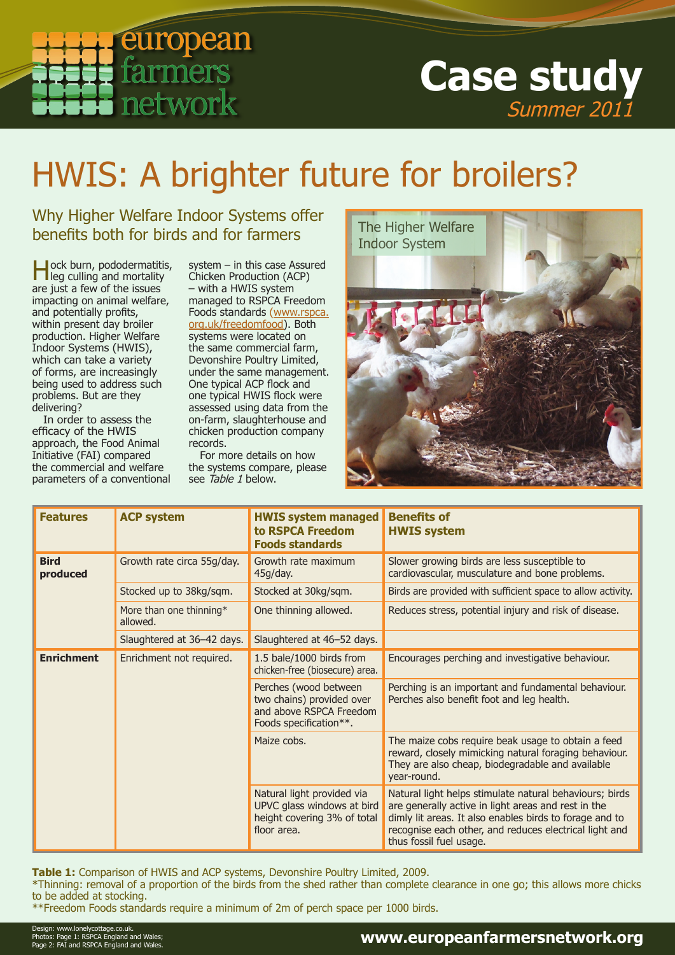

## **Case study** Summer 2011

# HWIS: A brighter future for broilers?

Why Higher Welfare Indoor Systems offer benefits both for birds and for farmers

**H**ock burn, pododermatitis,<br>leg culling and mortality are just a few of the issues impacting on animal welfare, and potentially profits, within present day broiler production. Higher Welfare Indoor Systems (HWIS), which can take a variety of forms, are increasingly being used to address such problems. But are they delivering?

In order to assess the efficacy of the HWIS approach, the Food Animal Initiative (FAI) compared the commercial and welfare parameters of a conventional system – in this case Assured Chicken Production (ACP) – with a HWIS system managed to RSPCA Freedom Foods standards [\(www.rspca.](http://www.rspca.org.uk/freedomfood) [org.uk/freedomfood](http://www.rspca.org.uk/freedomfood)). Both systems were located on the same commercial farm, Devonshire Poultry Limited, under the same management. One typical ACP flock and one typical HWIS flock were assessed using data from the on-farm, slaughterhouse and chicken production company records.

For more details on how the systems compare, please see Table 1 below.



| <b>Features</b>         | <b>ACP system</b>                   | <b>HWIS system managed</b><br>to RSPCA Freedom<br><b>Foods standards</b>                                | <b>Benefits of</b><br><b>HWIS system</b>                                                                                                                                                                                                                       |  |  |
|-------------------------|-------------------------------------|---------------------------------------------------------------------------------------------------------|----------------------------------------------------------------------------------------------------------------------------------------------------------------------------------------------------------------------------------------------------------------|--|--|
| <b>Bird</b><br>produced | Growth rate circa 55g/day.          | Growth rate maximum<br>45g/day.                                                                         | Slower growing birds are less susceptible to<br>cardiovascular, musculature and bone problems.                                                                                                                                                                 |  |  |
|                         | Stocked up to 38kg/sqm.             | Stocked at 30kg/sqm.                                                                                    | Birds are provided with sufficient space to allow activity.                                                                                                                                                                                                    |  |  |
|                         | More than one thinning*<br>allowed. | One thinning allowed.                                                                                   | Reduces stress, potential injury and risk of disease.                                                                                                                                                                                                          |  |  |
|                         | Slaughtered at 36-42 days.          | Slaughtered at 46-52 days.                                                                              |                                                                                                                                                                                                                                                                |  |  |
| <b>Enrichment</b>       | Enrichment not required.            | 1.5 bale/1000 birds from<br>chicken-free (biosecure) area.                                              | Encourages perching and investigative behaviour.                                                                                                                                                                                                               |  |  |
|                         |                                     | Perches (wood between<br>two chains) provided over<br>and above RSPCA Freedom<br>Foods specification**. | Perching is an important and fundamental behaviour.<br>Perches also benefit foot and leg health.                                                                                                                                                               |  |  |
|                         |                                     | Maize cobs.                                                                                             | The maize cobs require beak usage to obtain a feed<br>reward, closely mimicking natural foraging behaviour.<br>They are also cheap, biodegradable and available<br>year-round.                                                                                 |  |  |
|                         |                                     | Natural light provided via<br>UPVC glass windows at bird<br>height covering 3% of total<br>floor area.  | Natural light helps stimulate natural behaviours; birds<br>are generally active in light areas and rest in the<br>dimly lit areas. It also enables birds to forage and to<br>recognise each other, and reduces electrical light and<br>thus fossil fuel usage. |  |  |

**Table 1:** Comparison of HWIS and ACP systems, Devonshire Poultry Limited, 2009.

\*Thinning: removal of a proportion of the birds from the shed rather than complete clearance in one go; this allows more chicks to be added at stocking.

\*\*Freedom Foods standards require a minimum of 2m of perch space per 1000 birds.